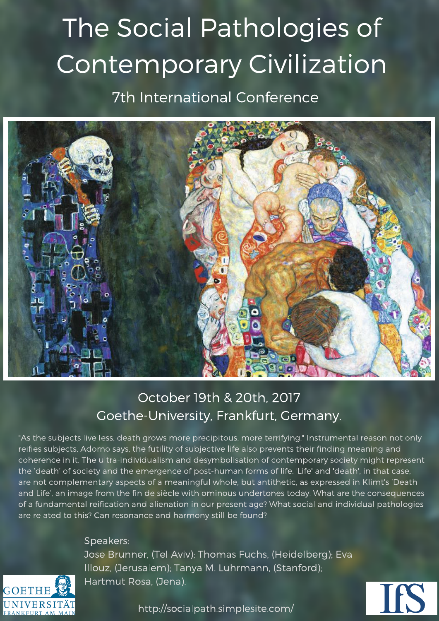# The Social Pathologies of Contemporary Civilization 7th International Conference



## October 19th & 20th, 2017 Goethe-University, Frankfurt, Germany.

"As the subjects live less, death grows more precipitous, more terrifying." Instrumental reason not only reifies subjects, Adorno says, the futility of subjective life also prevents their finding meaning and coherence in it. The ultra-individualism and desymbolisation of contemporary society might represent the 'death' of society and the emergence of post-human forms of life. 'Life' and 'death', in that case, are not complementary aspects of a meaningful whole, but antithetic, as expressed in Klimt's 'Death and Life', an image from the fin de siècle with ominous undertones today. What are the consequences of a fundamental reification and alienation in our present age? What social and individual pathologies are related to this? Can resonance and harmony still be found?

Speakers:

Jose Brunner, (Tel Aviv); Thomas Fuchs, (Heidelberg); Eva Illouz, (Jerusalem); Tanya M. Luhrmann, (Stanford); Hartmut Rosa, (Jena).